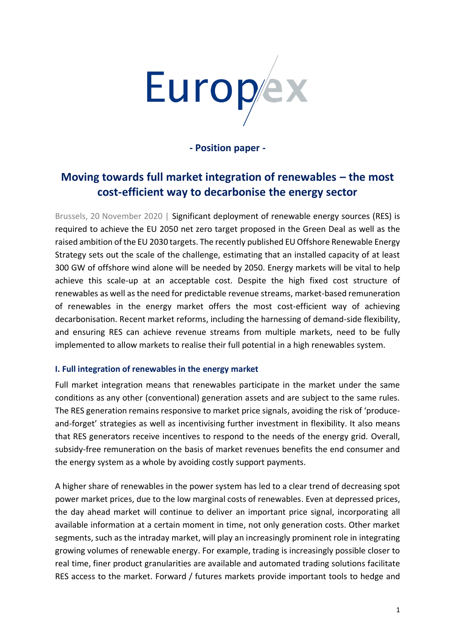

**- Position paper -** 

# **Moving towards full market integration of renewables – the most cost-efficient way to decarbonise the energy sector**

Brussels, 20 November 2020 | Significant deployment of renewable energy sources (RES) is required to achieve the EU 2050 net zero target proposed in the Green Deal as well as the raised ambition of the EU 2030 targets. The recently published EU Offshore Renewable Energy Strategy sets out the scale of the challenge, estimating that an installed capacity of at least 300 GW of offshore wind alone will be needed by 2050. Energy markets will be vital to help achieve this scale-up at an acceptable cost. Despite the high fixed cost structure of renewables as well as the need for predictable revenue streams, market-based remuneration of renewables in the energy market offers the most cost-efficient way of achieving decarbonisation. Recent market reforms, including the harnessing of demand-side flexibility, and ensuring RES can achieve revenue streams from multiple markets, need to be fully implemented to allow markets to realise their full potential in a high renewables system.

# **I. Full integration of renewables in the energy market**

Full market integration means that renewables participate in the market under the same conditions as any other (conventional) generation assets and are subject to the same rules. The RES generation remains responsive to market price signals, avoiding the risk of 'produceand-forget' strategies as well as incentivising further investment in flexibility. It also means that RES generators receive incentives to respond to the needs of the energy grid. Overall, subsidy-free remuneration on the basis of market revenues benefits the end consumer and the energy system as a whole by avoiding costly support payments.

A higher share of renewables in the power system has led to a clear trend of decreasing spot power market prices, due to the low marginal costs of renewables. Even at depressed prices, the day ahead market will continue to deliver an important price signal, incorporating all available information at a certain moment in time, not only generation costs. Other market segments, such as the intraday market, will play an increasingly prominent role in integrating growing volumes of renewable energy. For example, trading is increasingly possible closer to real time, finer product granularities are available and automated trading solutions facilitate RES access to the market. Forward / futures markets provide important tools to hedge and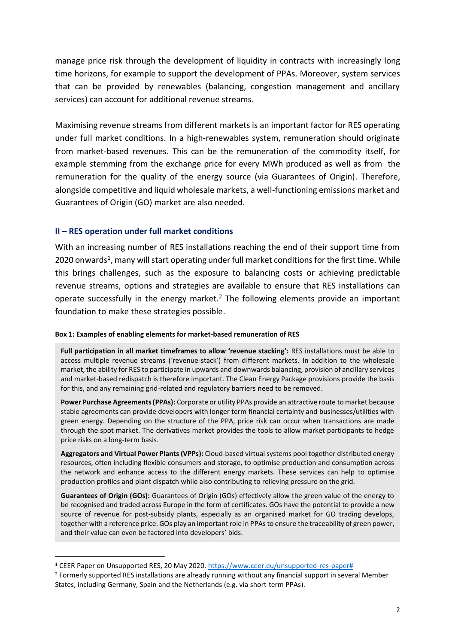manage price risk through the development of liquidity in contracts with increasingly long time horizons, for example to support the development of PPAs. Moreover, system services that can be provided by renewables (balancing, congestion management and ancillary services) can account for additional revenue streams.

Maximising revenue streams from different markets is an important factor for RES operating under full market conditions. In a high-renewables system, remuneration should originate from market-based revenues. This can be the remuneration of the commodity itself, for example stemming from the exchange price for every MWh produced as well as from the remuneration for the quality of the energy source (via Guarantees of Origin). Therefore, alongside competitive and liquid wholesale markets, a well-functioning emissions market and Guarantees of Origin (GO) market are also needed.

## **II – RES operation under full market conditions**

With an increasing number of RES installations reaching the end of their support time from 2020 onwards<sup>1</sup>, many will start operating under full market conditions for the first time. While this brings challenges, such as the exposure to balancing costs or achieving predictable revenue streams, options and strategies are available to ensure that RES installations can operate successfully in the energy market. $2$  The following elements provide an important foundation to make these strategies possible.

## **Box 1: Examples of enabling elements for market-based remuneration of RES**

**Full participation in all market timeframes to allow 'revenue stacking':** RES installations must be able to access multiple revenue streams ('revenue-stack') from different markets. In addition to the wholesale market, the ability for RES to participate in upwards and downwards balancing, provision of ancillary services and market-based redispatch is therefore important. The Clean Energy Package provisions provide the basis for this, and any remaining grid-related and regulatory barriers need to be removed.

**Power Purchase Agreements (PPAs):** Corporate or utility PPAs provide an attractive route to market because stable agreements can provide developers with longer term financial certainty and businesses/utilities with green energy. Depending on the structure of the PPA, price risk can occur when transactions are made through the spot market. The derivatives market provides the tools to allow market participants to hedge price risks on a long-term basis.

**Aggregators and Virtual Power Plants (VPPs):** Cloud-based virtual systems pool together distributed energy resources, often including flexible consumers and storage, to optimise production and consumption across the network and enhance access to the different energy markets. These services can help to optimise production profiles and plant dispatch while also contributing to relieving pressure on the grid.

**Guarantees of Origin (GOs):** Guarantees of Origin (GOs) effectively allow the green value of the energy to be recognised and traded across Europe in the form of certificates. GOs have the potential to provide a new source of revenue for post-subsidy plants, especially as an organised market for GO trading develops, together with a reference price. GOs play an important role in PPAs to ensure the traceability of green power, and their value can even be factored into developers' bids.

<sup>&</sup>lt;sup>1</sup> CEER Paper on Unsupported RES, 20 May 2020. [https://www.ceer.eu/unsupported-res-paper#](https://www.ceer.eu/unsupported-res-paper)

<sup>&</sup>lt;sup>2</sup> Formerly supported RES installations are already running without any financial support in several Member States, including Germany, Spain and the Netherlands (e.g. via short-term PPAs).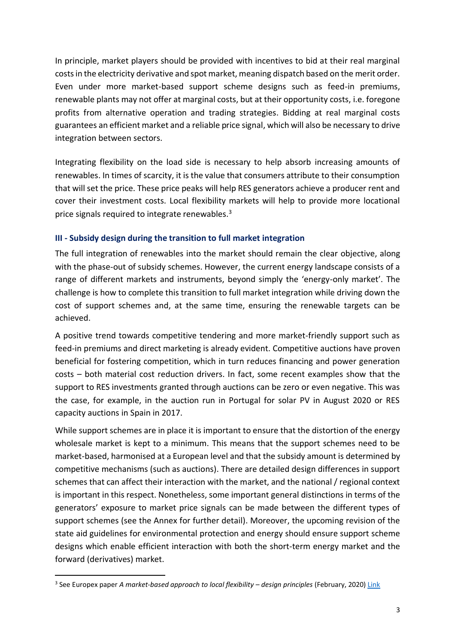In principle, market players should be provided with incentives to bid at their real marginal costs in the electricity derivative and spot market, meaning dispatch based on the merit order. Even under more market-based support scheme designs such as feed-in premiums, renewable plants may not offer at marginal costs, but at their opportunity costs, i.e. foregone profits from alternative operation and trading strategies. Bidding at real marginal costs guarantees an efficient market and a reliable price signal, which will also be necessary to drive integration between sectors.

Integrating flexibility on the load side is necessary to help absorb increasing amounts of renewables. In times of scarcity, it is the value that consumers attribute to their consumption that will set the price. These price peaks will help RES generators achieve a producer rent and cover their investment costs. Local flexibility markets will help to provide more locational price signals required to integrate renewables.<sup>3</sup>

# **III - Subsidy design during the transition to full market integration**

The full integration of renewables into the market should remain the clear objective, along with the phase-out of subsidy schemes. However, the current energy landscape consists of a range of different markets and instruments, beyond simply the 'energy-only market'. The challenge is how to complete this transition to full market integration while driving down the cost of support schemes and, at the same time, ensuring the renewable targets can be achieved.

A positive trend towards competitive tendering and more market-friendly support such as feed-in premiums and direct marketing is already evident. Competitive auctions have proven beneficial for fostering competition, which in turn reduces financing and power generation costs – both material cost reduction drivers. In fact, some recent examples show that the support to RES investments granted through auctions can be zero or even negative. This was the case, for example, in the auction run in Portugal for solar PV in August 2020 or RES capacity auctions in Spain in 2017.

While support schemes are in place it is important to ensure that the distortion of the energy wholesale market is kept to a minimum. This means that the support schemes need to be market-based, harmonised at a European level and that the subsidy amount is determined by competitive mechanisms (such as auctions). There are detailed design differences in support schemes that can affect their interaction with the market, and the national / regional context is important in this respect. Nonetheless, some important general distinctions in terms of the generators' exposure to market price signals can be made between the different types of support schemes (see the Annex for further detail). Moreover, the upcoming revision of the state aid guidelines for environmental protection and energy should ensure support scheme designs which enable efficient interaction with both the short-term energy market and the forward (derivatives) market.

<sup>&</sup>lt;sup>3</sup> See Europex paper *A market-based approach to local flexibility – design principles (February, 2020) <u>Link</u>*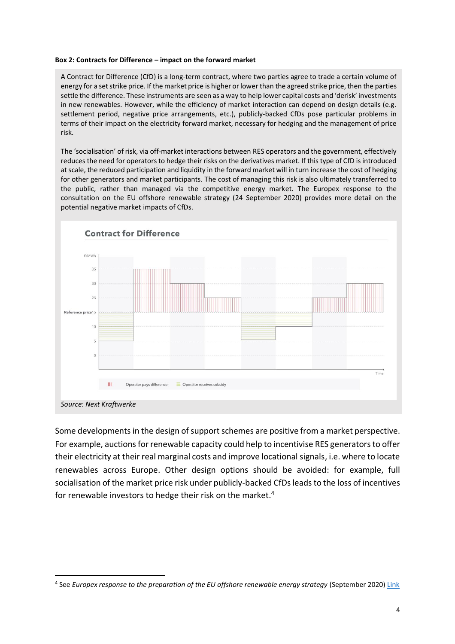#### **Box 2: Contracts for Difference – impact on the forward market**

A Contract for Difference (CfD) is a long-term contract, where two parties agree to trade a certain volume of energy for a set strike price. If the market price is higher or lower than the agreed strike price, then the parties settle the difference. These instruments are seen as a way to help lower capital costs and 'derisk' investments in new renewables. However, while the efficiency of market interaction can depend on design details (e.g. settlement period, negative price arrangements, etc.), publicly-backed CfDs pose particular problems in terms of their impact on the electricity forward market, necessary for hedging and the management of price risk.

The 'socialisation' of risk, via off-market interactions between RES operators and the government, effectively reduces the need for operators to hedge their risks on the derivatives market. If this type of CfD is introduced at scale, the reduced participation and liquidity in the forward market will in turn increase the cost of hedging for other generators and market participants. The cost of managing this risk is also ultimately transferred to the public, rather than managed via the competitive energy market. The Europex response to the consultation on the EU offshore renewable strategy (24 September 2020) provides more detail on the potential negative market impacts of CfDs.



Some developments in the design of support schemes are positive from a market perspective. For example, auctions for renewable capacity could help to incentivise RES generators to offer their electricity at their real marginal costs and improve locational signals, i.e. where to locate renewables across Europe. Other design options should be avoided: for example, full socialisation of the market price risk under publicly-backed CfDs leads to the loss of incentives for renewable investors to hedge their risk on the market.<sup>4</sup>

<sup>4</sup> See *Europex response to the preparation of the EU offshore renewable energy strategy* (September 2020) [Link](https://www.europex.org/consultation-responses/europex-response-eu-offshore-renewable-energy-strategy/)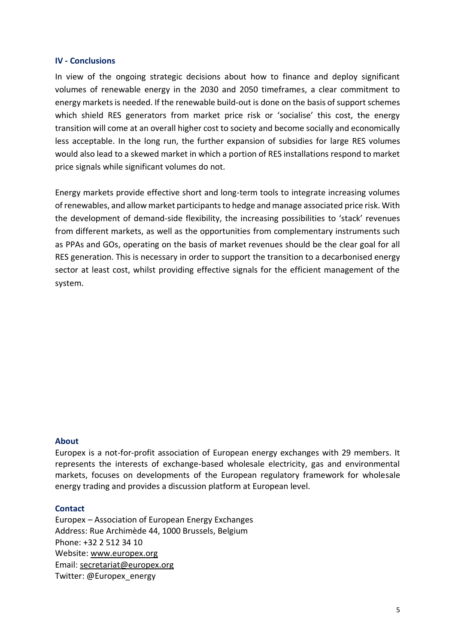## **IV - Conclusions**

In view of the ongoing strategic decisions about how to finance and deploy significant volumes of renewable energy in the 2030 and 2050 timeframes, a clear commitment to energy markets is needed. If the renewable build-out is done on the basis of support schemes which shield RES generators from market price risk or 'socialise' this cost, the energy transition will come at an overall higher cost to society and become socially and economically less acceptable. In the long run, the further expansion of subsidies for large RES volumes would also lead to a skewed market in which a portion of RES installations respond to market price signals while significant volumes do not.

Energy markets provide effective short and long-term tools to integrate increasing volumes of renewables, and allow market participants to hedge and manage associated price risk. With the development of demand-side flexibility, the increasing possibilities to 'stack' revenues from different markets, as well as the opportunities from complementary instruments such as PPAs and GOs, operating on the basis of market revenues should be the clear goal for all RES generation. This is necessary in order to support the transition to a decarbonised energy sector at least cost, whilst providing effective signals for the efficient management of the system.

## **About**

Europex is a not-for-profit association of European energy exchanges with 29 members. It represents the interests of exchange-based wholesale electricity, gas and environmental markets, focuses on developments of the European regulatory framework for wholesale energy trading and provides a discussion platform at European level.

## **Contact**

Europex – Association of European Energy Exchanges Address: Rue Archimède 44, 1000 Brussels, Belgium Phone: +32 2 512 34 10 Website: [www.europex.org](http://www.europex.org/)  Email: [secretariat@europex.org](mailto:secretariat@europex.org)  Twitter: @Europex\_energy